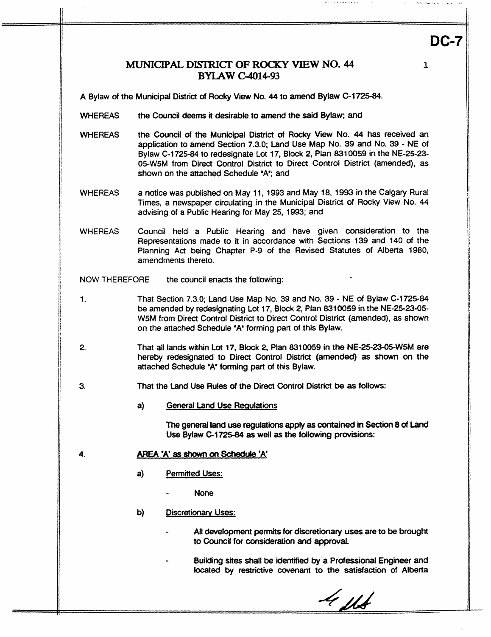## *MUNICIPAL DISTRICT OF ROCKY VIEW NO. 44* **BYLAW G4014-93**

...,. -..-.. . . ...\_-.\_. -..-...I <sup>I</sup>

**DC-7** 

**1** 

A Bylaw of the Municipal District of Rocky View No. 44 to amend Bylaw C-1725-84.

- **WHEREAS the** Council **deems** it desirable to amend the said Bylaw; and
- **WHEREAS** the Council of the Municipal District of **Rocky View No. 44 has** received an application to amend Section **7.3.0;** Land Use Map No. **39** and **No.** 39 - NE of **Bylaw** C-1725-84 to redesignate Lot 17, Block 2, **Plan 831** 0059 in the NE-25-23- 05-W5M from Direct Control District to Direct Control District (amended), as shown on the attached Schedule *'R;* and
- WHEREAS a notice was published on May 1 1,1993 and May **18,1993** in the Calgary Rural Times, a newspaper circulating in the Municipal District of Rocky View No. **44**  advising of a Public Hearing for May 25, 1993; and
- **WHEREAS** Council held a Public Hearing and have given consideration to the Representations made to it in accordance with Sections 139 and 140 of the Planning Act being Chapter P-9 of the Revised Statutes of Alberta 1980, amendments thereto.

NOW THEREFORE the council enacts the following:

- **1.** That Section 7.3.0; Land Use Map No. 39 and No. 39 NE of Bylaw C-1725-84 be amended **by** redesignating Lot 17, Block 2, Plan 831 0059 in the **NE-25-23-05- WSM** from Direct Control District to Direct Control District (amended), as shown **on** the attached Schedule 'A' forming part of this Bylaw.
- **2.** That **all** lands within Lot 17, Block 2, Plan 8310059 in the **NE-25-23-05-W5M** are hereby redesignated to Direct Control District **(amended) as shown on the**  attached Schedule **'A'** forming part of this Bylaw.
- **3.** That the Land Use Rules of **the** Direct Control District be **as** follows:
	- **a)** General Land Use Requlations

The general land use regulations apply **as** contained in **Section 8 of Land Use Bytaw C-1725-84 as** well **as** the following **provisions:** 

- 4. **AREA 'A' as shown on Schedule 'A'** 
	- **a) Permitted Uses:** 
		- None
	- **b) Discretionary Uses:** 
		- **All** development permits for discretionary **uses** are to be brought to Council for consideration and approval.
		- Building sites shall be *identified* **by** a Professional Engineer and located by restrictive covenant to **the** satisfaction of **Alberta**

 $4$  114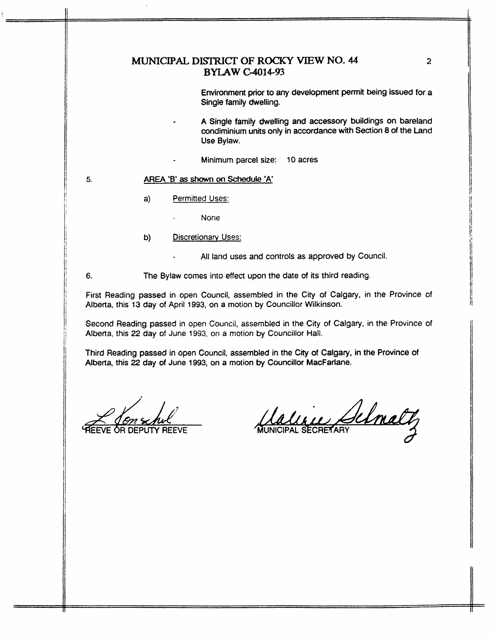## **MUNICIPAL DISTRICT OF ROCKY VIEW NO. 44 BYLAW C-14-93**

Environment prior to *any* development permit being issued for a Single family dwelling.

- A Single family dwelling and accessory buildings on bareland condiminium units only in accordance with Section 8 of the Land Use Bylaw.
- Minimum parcel *size:* 10 **acres**

## **5.** AREA **'B' as** *shown on* **Schedule 'A**

- 4 **Permitted Uses:** 
	- None
- **b)** Discretionary Uses:
	- All land uses and controls as approved **by** Council.

*6.* The Bylaw **comes** into **effect** upon the date **of** its third reading.

First Reading **passed** in open Council, assembled in **the Crty of** Calgary, in **the** Province of Alberta, **this** 13 day **of** April 1993, on a motion **by** Councillor **Wilkinson.** 

Second Reading passed in open Council, assembled in **the** City **of** Calgary, in the Province of Alberta, this 22 day of **June** 1993, on a motion **by** Councillor **Hall.** 

Third Reading passed in open Council, assembled in the Crty of **Calgary,** in the Province of Alberta, this 22 day of June 1993, on a motion by Councillor MacFarlane.

.<br>.<br>.

Maline Schmalt